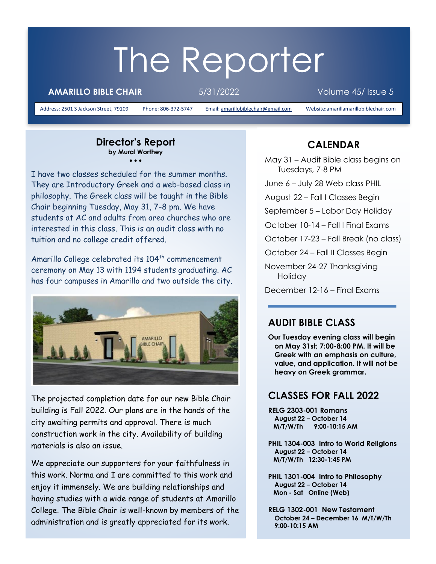# The Reporter

**AMARILLO BIBLE CHAIR** 5/31/2022 Volume 45/ Issue 5

Address: 2501 S Jackson Street, 79109 Phone: 806-372-5747 Email[: amarillobiblechair@gmail.com](mailto:amarillobiblechair@gmail.com) Website:amarillamarillobiblechair.com

#### **Director's Report by Mural Worthey** • • •

I have two classes scheduled for the summer months. They are Introductory Greek and a web-based class in philosophy. The Greek class will be taught in the Bible Chair beginning Tuesday, May 31, 7-8 pm. We have students at AC and adults from area churches who are interested in this class. This is an audit class with no tuition and no college credit offered.

Amarillo College celebrated its 104<sup>th</sup> commencement ceremony on May 13 with 1194 students graduating. AC has four campuses in Amarillo and two outside the city.



The projected completion date for our new Bible Chair building is Fall 2022. Our plans are in the hands of the city awaiting permits and approval. There is much construction work in the city. Availability of building materials is also an issue.

We appreciate our supporters for your faithfulness in this work. Norma and I are committed to this work and enjoy it immensely. We are building relationships and having studies with a wide range of students at Amarillo College. The Bible Chair is well-known by members of the administration and is greatly appreciated for its work.

## **CALENDAR**

May 31 – Audit Bible class begins on Tuesdays, 7-8 PM

June 6 – July 28 Web class PHIL

August 22 – Fall I Classes Begin

September 5 – Labor Day Holiday

October 10-14 – Fall I Final Exams

October 17-23 – Fall Break (no class)

October 24 – Fall II Classes Begin

November 24-27 Thanksgiving Holiday

December 12-16 – Final Exams

#### **AUDIT BIBLE CLASS**

**Our Tuesday evening class will begin on May 31st; 7:00-8:00 PM. It will be Greek with an emphasis on culture, value, and application. It will not be heavy on Greek grammar.**

#### **CLASSES FOR FALL 2022**

**RELG 2303-001 Romans August 22 – October 14 M/T/W/Th 9:00-10:15 AM** 

**PHIL 1304-003 Intro to World Religions August 22 – October 14 M/T/W/Th 12:30-1:45 PM** 

**PHIL 1301-004 Intro to Philosophy August 22 – October 14 Mon - Sat Online (Web)** 

**RELG 1302-001 New Testament October 24 – December 16 M/T/W/Th 9:00-10:15 AM**